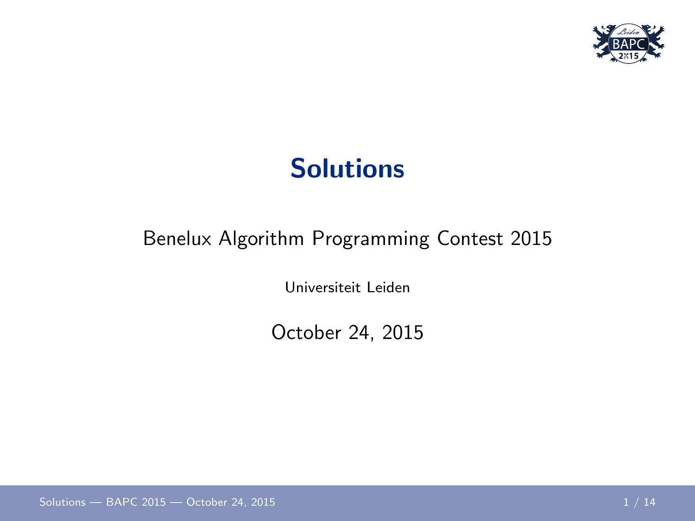

#### **Solutions**

#### Benelux Algorithm Programming Contest 2015

Universiteit Leiden

<span id="page-0-0"></span>October 24, 2015

[Solutions — BAPC 2015](#page-13-0) — October 24, 2015 1 1 / 14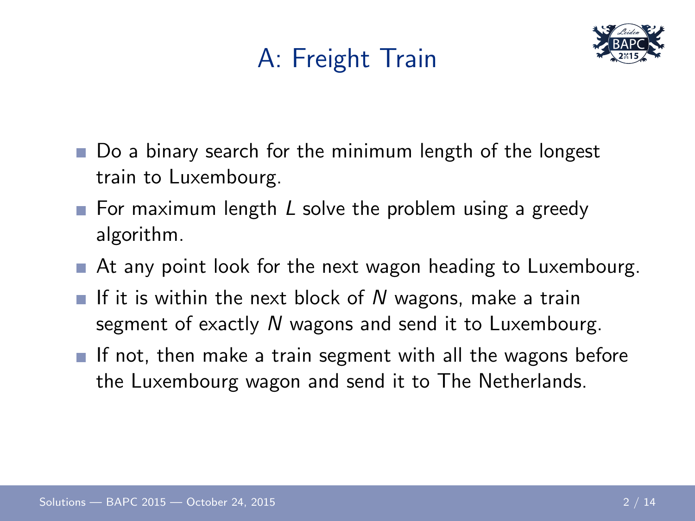# A: Freight Train



- Do a binary search for the minimum length of the longest train to Luxembourg.
- For maximum length L solve the problem using a greedy algorithm.
- At any point look for the next wagon heading to Luxembourg.
- If it is within the next block of N wagons, make a train segment of exactly N wagons and send it to Luxembourg.
- If not, then make a train segment with all the wagons before the Luxembourg wagon and send it to The Netherlands.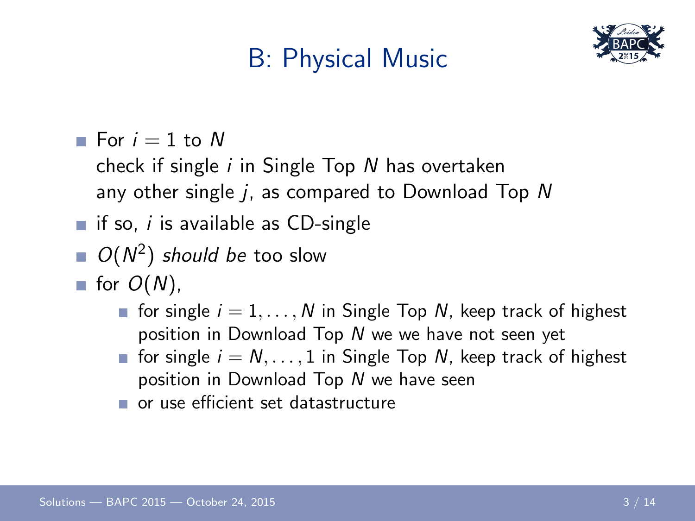# B: Physical Music



For  $i = 1$  to N

check if single  $i$  in Single Top  $N$  has overtaken any other single  $i$ , as compared to Download Top  $N$ 

- if so, i is available as CD-single
- $O(N^2)$  should be too slow
- for  $O(N)$ .
	- for single  $i = 1, \ldots, N$  in Single Top N, keep track of highest position in Download Top N we we have not seen yet
	- for single  $i = N, \ldots, 1$  in Single Top N, keep track of highest position in Download Top N we have seen
	- or use efficient set datastructure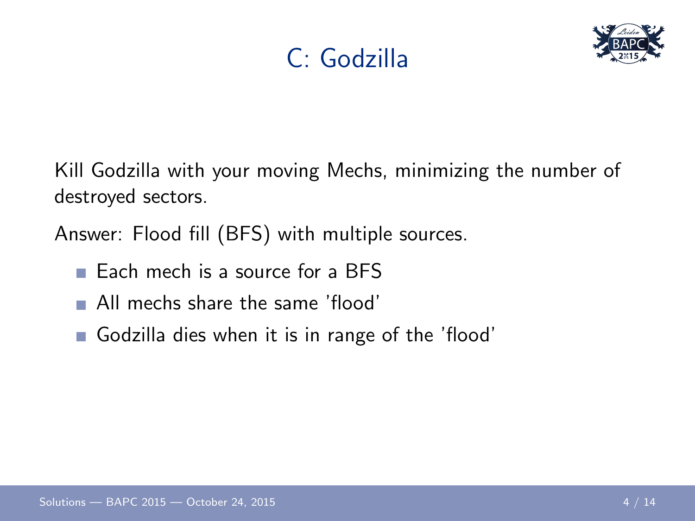



Kill Godzilla with your moving Mechs, minimizing the number of destroyed sectors.

Answer: Flood fill (BFS) with multiple sources.

- Each mech is a source for a BFS
- All mechs share the same 'flood'
- Godzilla dies when it is in range of the 'flood'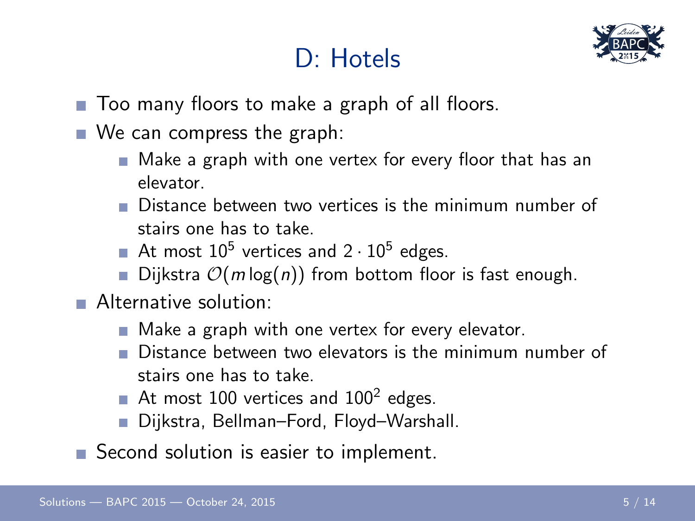#### D: Hotels



- Too many floors to make a graph of all floors.
- We can compress the graph:
	- Make a graph with one vertex for every floor that has an elevator.
	- Distance between two vertices is the minimum number of stairs one has to take.
	- At most  $10^5$  vertices and  $2 \cdot 10^5$  edges.
	- Dijkstra  $\mathcal{O}(m \log(n))$  from bottom floor is fast enough.
- **Alternative solution:** 
	- Make a graph with one vertex for every elevator.
	- Distance between two elevators is the minimum number of stairs one has to take.
	- At most  $100$  vertices and  $100^2$  edges.
	- Dijkstra, Bellman–Ford, Floyd–Warshall.
- Second solution is easier to implement.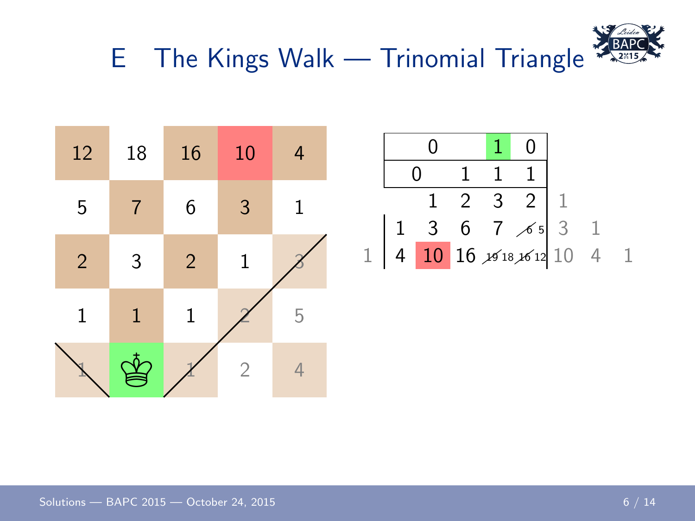

E The Kings Walk — Trinomial Triangle

| 12             | 18           | 16             | 10             | 4          |  |
|----------------|--------------|----------------|----------------|------------|--|
| 5              | 7            | 6              | 3              | 1          |  |
| $\overline{2}$ | 3            | $\overline{2}$ | $\mathbf{1}$   |            |  |
| $\mathbf{1}$   | $\mathbf{1}$ | $\mathbf 1$    |                | 5          |  |
|                |              |                | $\overline{2}$ | $\sqrt{2}$ |  |

|  |  | $1\quad 2$ | $\mathbf{3}$ |                                                                                         |  |  |
|--|--|------------|--------------|-----------------------------------------------------------------------------------------|--|--|
|  |  |            |              | $\begin{array}{rrrr} 3 & 6 & 7 & 6 & 3 \\ 10 & 16 & 18 & 18 & 10 \\ \hline \end{array}$ |  |  |
|  |  |            |              |                                                                                         |  |  |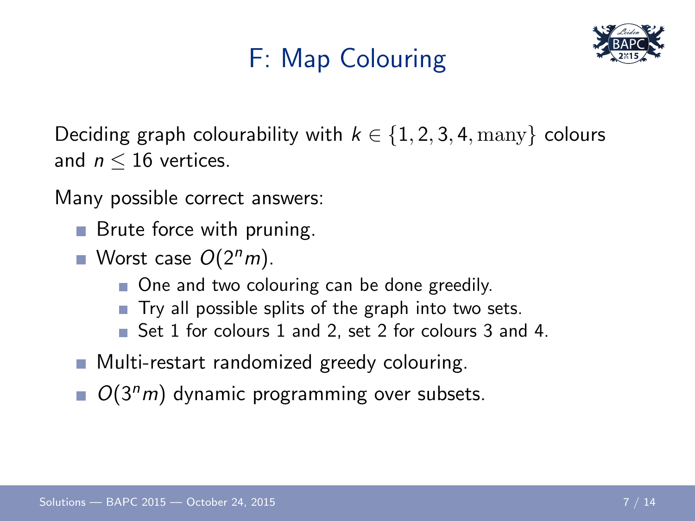# F: Map Colouring



Deciding graph colourability with  $k \in \{1, 2, 3, 4, \text{many}\}\$ colours and  $n < 16$  vertices.

Many possible correct answers:

- **Brute force with pruning.**
- Worst case  $O(2<sup>n</sup>m)$ .
	- One and two colouring can be done greedily.
	- $\blacksquare$  Try all possible splits of the graph into two sets.
	- Set 1 for colours 1 and 2, set 2 for colours 3 and 4.
- **Multi-restart randomized greedy colouring.**
- $O(3<sup>n</sup>m)$  dynamic programming over subsets.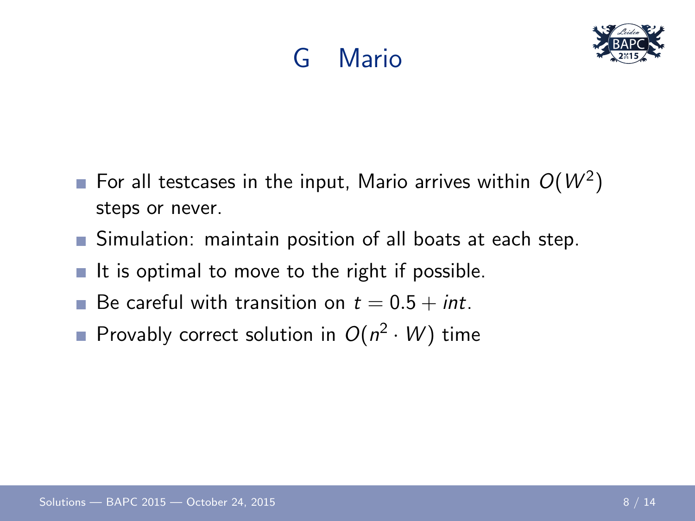# G Mario



- For all testcases in the input, Mario arrives within  $O(W^2)$ steps or never.
- Simulation: maintain position of all boats at each step.
- It is optimal to move to the right if possible. m.
- Be careful with transition on  $t = 0.5 + int$ . m.
- Provably correct solution in  $O(n^2 \cdot W)$  time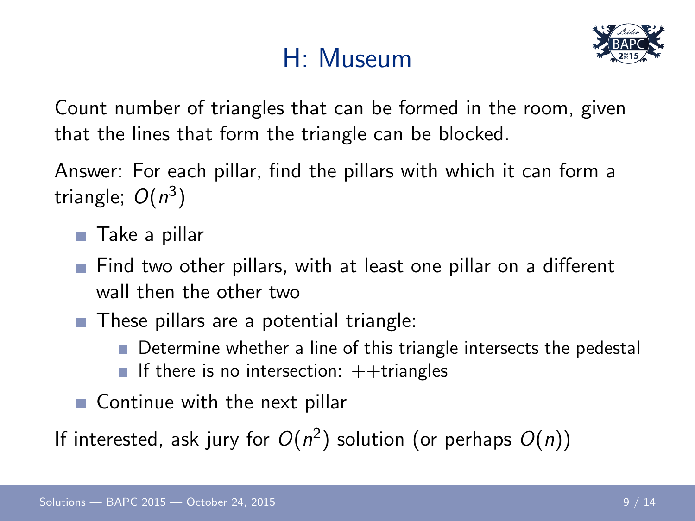# H: Museum



Count number of triangles that can be formed in the room, given that the lines that form the triangle can be blocked.

Answer: For each pillar, find the pillars with which it can form a triangle;  $O(n^3)$ 

- Take a pillar
- Find two other pillars, with at least one pillar on a different wall then the other two
- These pillars are a potential triangle:
	- Determine whether a line of this triangle intersects the pedestal
	- If there is no intersection:  $++$ triangles
- Continue with the next pillar

If interested, ask jury for  $O(n^2)$  solution (or perhaps  $O(n)$ )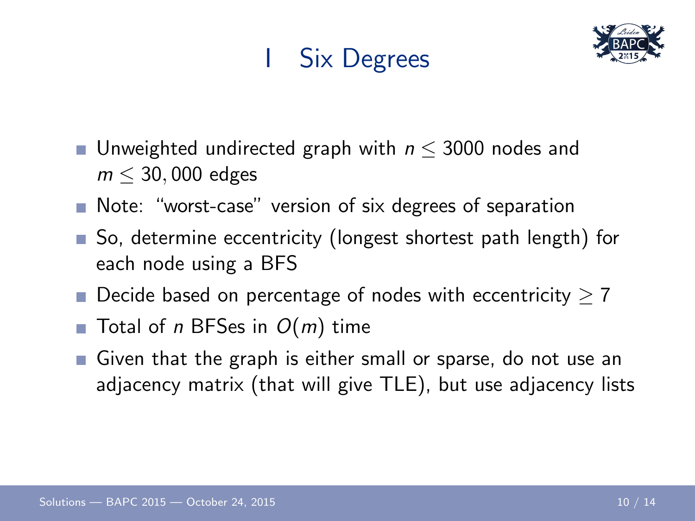# I Six Degrees



- Unweighted undirected graph with  $n \leq 3000$  nodes and  $m < 30,000$  edges
- Note: "worst-case" version of six degrees of separation
- So, determine eccentricity (longest shortest path length) for each node using a BFS
- Decide based on percentage of nodes with eccentricity  $\geq 7$
- $\blacksquare$  Total of n BFSes in  $O(m)$  time
- Given that the graph is either small or sparse, do not use an adjacency matrix (that will give TLE), but use adjacency lists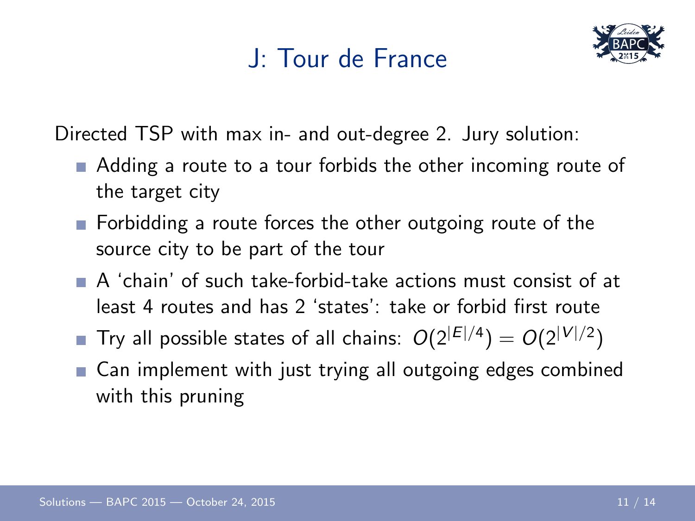#### J: Tour de France



Directed TSP with max in- and out-degree 2. Jury solution:

- Adding a route to a tour forbids the other incoming route of the target city
- **Forbidding a route forces the other outgoing route of the** source city to be part of the tour
- A 'chain' of such take-forbid-take actions must consist of at least 4 routes and has 2 'states': take or forbid first route
- Try all possible states of all chains:  $O(2^{|E|/4}) = O(2^{|V|/2})$
- Can implement with just trying all outgoing edges combined m. with this pruning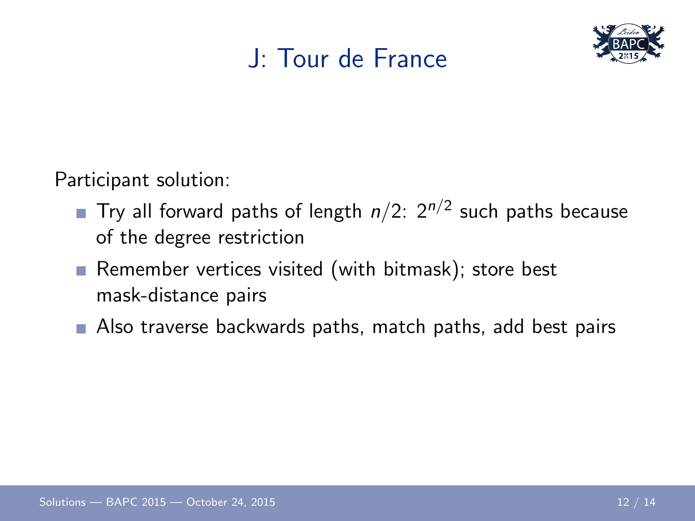#### J: Tour de France



Participant solution:

- Try all forward paths of length  $n/2$ :  $2^{n/2}$  such paths because of the degree restriction
- Remember vertices visited (with bitmask); store best mask-distance pairs
- Also traverse backwards paths, match paths, add best pairs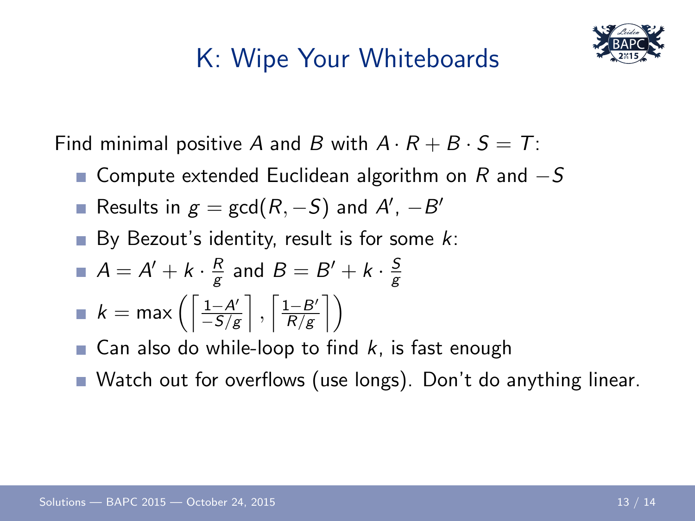### K: Wipe Your Whiteboards



Find minimal positive A and B with  $A \cdot R + B \cdot S = T$ :

- Compute extended Euclidean algorithm on R and  $-S$
- Results in  $g = \gcd(R, -S)$  and  $A', -B'$
- By Bezout's identity, result is for some  $k$ :

$$
A = A' + k \cdot \frac{R}{g} \text{ and } B = B' + k \cdot \frac{S}{g}
$$

$$
\blacksquare k = \max\left(\left\lceil \frac{1-A'}{-S/g} \right\rceil, \left\lceil \frac{1-B'}{R/g} \right\rceil \right)
$$

- **Can also do while-loop to find k, is fast enough**
- Watch out for overflows (use longs). Don't do anything linear.